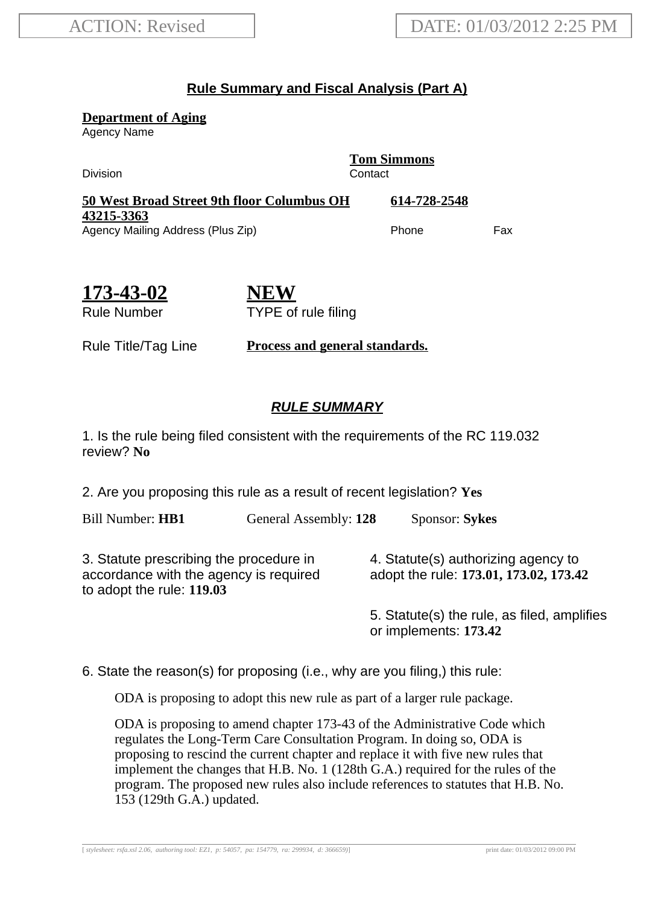## **Rule Summary and Fiscal Analysis (Part A)**

**Department of Aging**

Agency Name

Division Contact

**Tom Simmons**

| <b>50 West Broad Street 9th floor Columbus OH</b> | 614-728-2548 |     |
|---------------------------------------------------|--------------|-----|
| 43215-3363                                        |              |     |
| Agency Mailing Address (Plus Zip)                 | <b>Phone</b> | Fax |

| 173-43-02   |  |
|-------------|--|
| Rule Number |  |

**NEW** TYPE of rule filing

Rule Title/Tag Line **Process and general standards.**

## **RULE SUMMARY**

1. Is the rule being filed consistent with the requirements of the RC 119.032 review? **No**

2. Are you proposing this rule as a result of recent legislation? **Yes**

Bill Number: **HB1** General Assembly: **128** Sponsor: **Sykes**

3. Statute prescribing the procedure in accordance with the agency is required to adopt the rule: **119.03**

4. Statute(s) authorizing agency to adopt the rule: **173.01, 173.02, 173.42**

5. Statute(s) the rule, as filed, amplifies or implements: **173.42**

6. State the reason(s) for proposing (i.e., why are you filing,) this rule:

ODA is proposing to adopt this new rule as part of a larger rule package.

ODA is proposing to amend chapter 173-43 of the Administrative Code which regulates the Long-Term Care Consultation Program. In doing so, ODA is proposing to rescind the current chapter and replace it with five new rules that implement the changes that H.B. No. 1 (128th G.A.) required for the rules of the program. The proposed new rules also include references to statutes that H.B. No. 153 (129th G.A.) updated.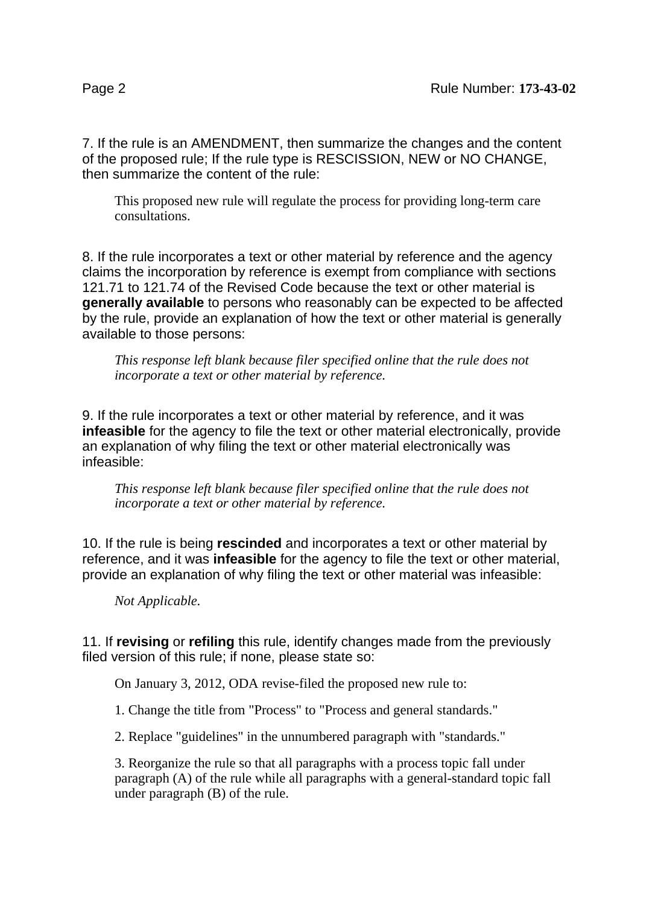7. If the rule is an AMENDMENT, then summarize the changes and the content of the proposed rule; If the rule type is RESCISSION, NEW or NO CHANGE, then summarize the content of the rule:

This proposed new rule will regulate the process for providing long-term care consultations.

8. If the rule incorporates a text or other material by reference and the agency claims the incorporation by reference is exempt from compliance with sections 121.71 to 121.74 of the Revised Code because the text or other material is **generally available** to persons who reasonably can be expected to be affected by the rule, provide an explanation of how the text or other material is generally available to those persons:

*This response left blank because filer specified online that the rule does not incorporate a text or other material by reference.*

9. If the rule incorporates a text or other material by reference, and it was **infeasible** for the agency to file the text or other material electronically, provide an explanation of why filing the text or other material electronically was infeasible:

*This response left blank because filer specified online that the rule does not incorporate a text or other material by reference.*

10. If the rule is being **rescinded** and incorporates a text or other material by reference, and it was **infeasible** for the agency to file the text or other material, provide an explanation of why filing the text or other material was infeasible:

*Not Applicable.*

11. If **revising** or **refiling** this rule, identify changes made from the previously filed version of this rule; if none, please state so:

On January 3, 2012, ODA revise-filed the proposed new rule to:

1. Change the title from "Process" to "Process and general standards."

2. Replace "guidelines" in the unnumbered paragraph with "standards."

3. Reorganize the rule so that all paragraphs with a process topic fall under paragraph (A) of the rule while all paragraphs with a general-standard topic fall under paragraph (B) of the rule.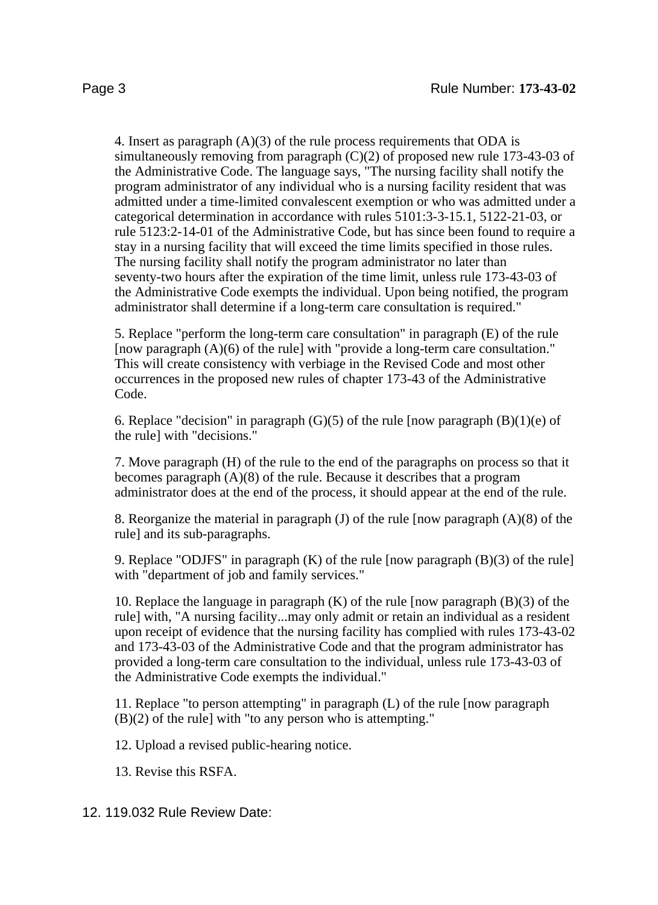4. Insert as paragraph  $(A)(3)$  of the rule process requirements that ODA is simultaneously removing from paragraph  $(C)(2)$  of proposed new rule 173-43-03 of the Administrative Code. The language says, "The nursing facility shall notify the program administrator of any individual who is a nursing facility resident that was admitted under a time-limited convalescent exemption or who was admitted under a categorical determination in accordance with rules 5101:3-3-15.1, 5122-21-03, or rule 5123:2-14-01 of the Administrative Code, but has since been found to require a stay in a nursing facility that will exceed the time limits specified in those rules. The nursing facility shall notify the program administrator no later than seventy-two hours after the expiration of the time limit, unless rule 173-43-03 of the Administrative Code exempts the individual. Upon being notified, the program administrator shall determine if a long-term care consultation is required."

5. Replace "perform the long-term care consultation" in paragraph (E) of the rule [now paragraph (A)(6) of the rule] with "provide a long-term care consultation." This will create consistency with verbiage in the Revised Code and most other occurrences in the proposed new rules of chapter 173-43 of the Administrative Code.

6. Replace "decision" in paragraph  $(G)(5)$  of the rule [now paragraph  $(B)(1)(e)$  of the rule] with "decisions."

7. Move paragraph (H) of the rule to the end of the paragraphs on process so that it becomes paragraph (A)(8) of the rule. Because it describes that a program administrator does at the end of the process, it should appear at the end of the rule.

8. Reorganize the material in paragraph (J) of the rule [now paragraph (A)(8) of the rule] and its sub-paragraphs.

9. Replace "ODJFS" in paragraph (K) of the rule [now paragraph (B)(3) of the rule] with "department of job and family services."

10. Replace the language in paragraph (K) of the rule [now paragraph (B)(3) of the rule] with, "A nursing facility...may only admit or retain an individual as a resident upon receipt of evidence that the nursing facility has complied with rules 173-43-02 and 173-43-03 of the Administrative Code and that the program administrator has provided a long-term care consultation to the individual, unless rule 173-43-03 of the Administrative Code exempts the individual."

11. Replace "to person attempting" in paragraph (L) of the rule [now paragraph  $(B)(2)$  of the rule] with "to any person who is attempting."

12. Upload a revised public-hearing notice.

13. Revise this RSFA.

12. 119.032 Rule Review Date: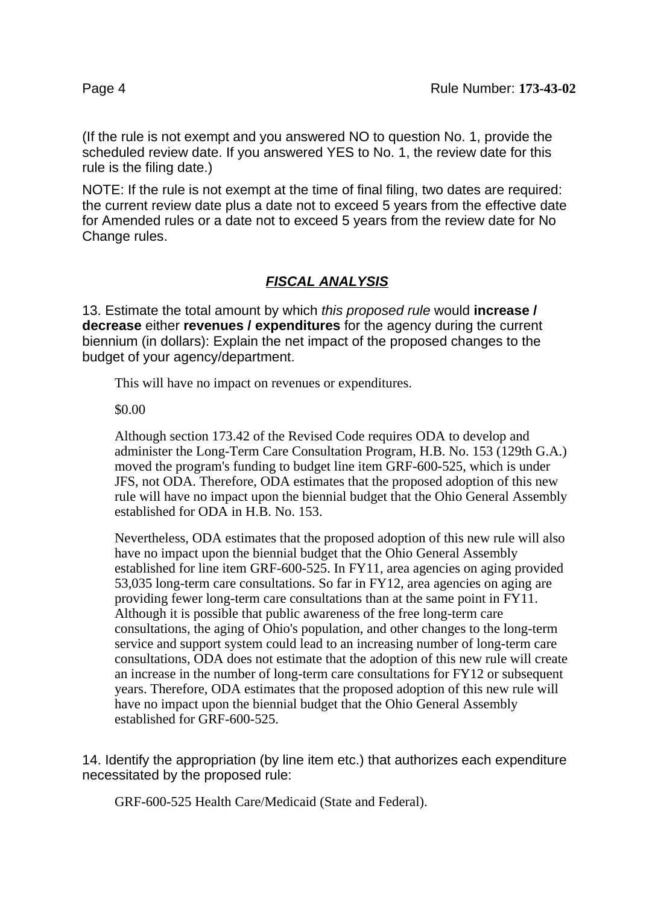(If the rule is not exempt and you answered NO to question No. 1, provide the scheduled review date. If you answered YES to No. 1, the review date for this rule is the filing date.)

NOTE: If the rule is not exempt at the time of final filing, two dates are required: the current review date plus a date not to exceed 5 years from the effective date for Amended rules or a date not to exceed 5 years from the review date for No Change rules.

## **FISCAL ANALYSIS**

13. Estimate the total amount by which this proposed rule would **increase / decrease** either **revenues / expenditures** for the agency during the current biennium (in dollars): Explain the net impact of the proposed changes to the budget of your agency/department.

This will have no impact on revenues or expenditures.

\$0.00

Although section 173.42 of the Revised Code requires ODA to develop and administer the Long-Term Care Consultation Program, H.B. No. 153 (129th G.A.) moved the program's funding to budget line item GRF-600-525, which is under JFS, not ODA. Therefore, ODA estimates that the proposed adoption of this new rule will have no impact upon the biennial budget that the Ohio General Assembly established for ODA in H.B. No. 153.

Nevertheless, ODA estimates that the proposed adoption of this new rule will also have no impact upon the biennial budget that the Ohio General Assembly established for line item GRF-600-525. In FY11, area agencies on aging provided 53,035 long-term care consultations. So far in FY12, area agencies on aging are providing fewer long-term care consultations than at the same point in FY11. Although it is possible that public awareness of the free long-term care consultations, the aging of Ohio's population, and other changes to the long-term service and support system could lead to an increasing number of long-term care consultations, ODA does not estimate that the adoption of this new rule will create an increase in the number of long-term care consultations for FY12 or subsequent years. Therefore, ODA estimates that the proposed adoption of this new rule will have no impact upon the biennial budget that the Ohio General Assembly established for GRF-600-525.

14. Identify the appropriation (by line item etc.) that authorizes each expenditure necessitated by the proposed rule:

GRF-600-525 Health Care/Medicaid (State and Federal).